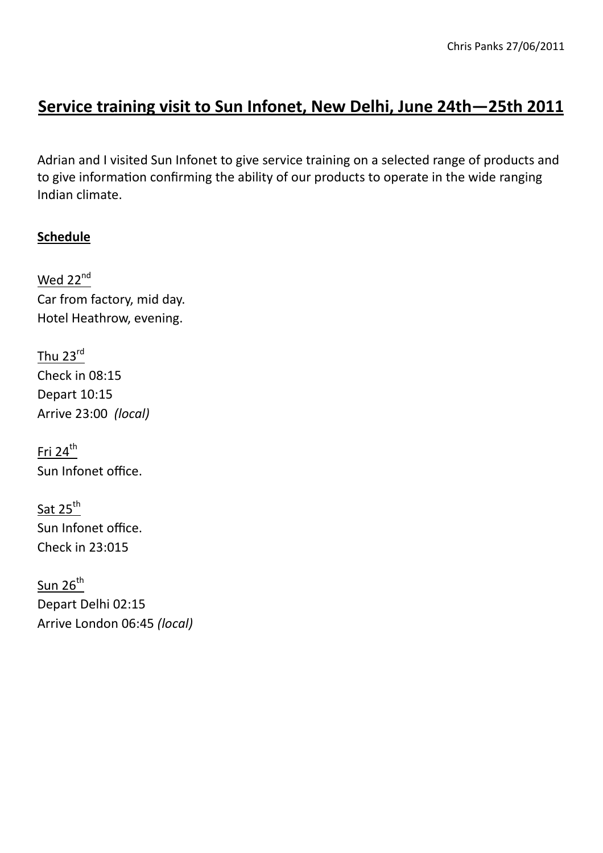# **Service training visit to Sun Infonet, New Delhi, June 24th—25th 2011**

Adrian and I visited Sun Infonet to give service training on a selected range of products and to give information confirming the ability of our products to operate in the wide ranging Indian climate.

# **Schedule**

Wed 22<sup>nd</sup> Car from factory, mid day. Hotel Heathrow, evening.

Thu 23rd Check in 08:15 Depart 10:15 Arrive 23:00 *(local)*

Fri 24<sup>th</sup> Sun Infonet office.

Sat 25<sup>th</sup> Sun Infonet office. Check in 23:015

 $S$ un 26<sup>th</sup> Depart Delhi 02:15 Arrive London 06:45 *(local)*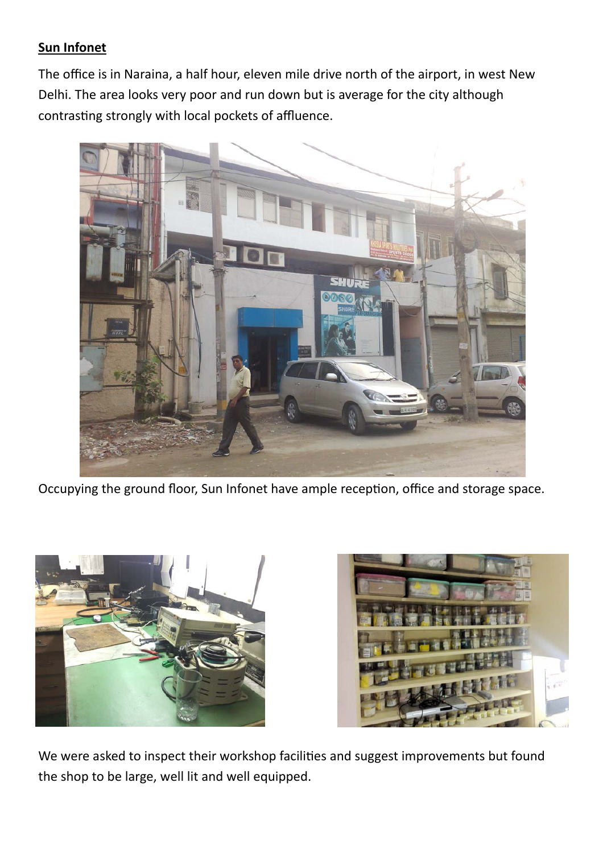## **Sun Infonet**

The office is in Naraina, a half hour, eleven mile drive north of the airport, in west New Delhi. The area looks very poor and run down but is average for the city although contrasting strongly with local pockets of affluence.



Occupying the ground floor, Sun Infonet have ample reception, office and storage space.





We were asked to inspect their workshop facilities and suggest improvements but found the shop to be large, well lit and well equipped.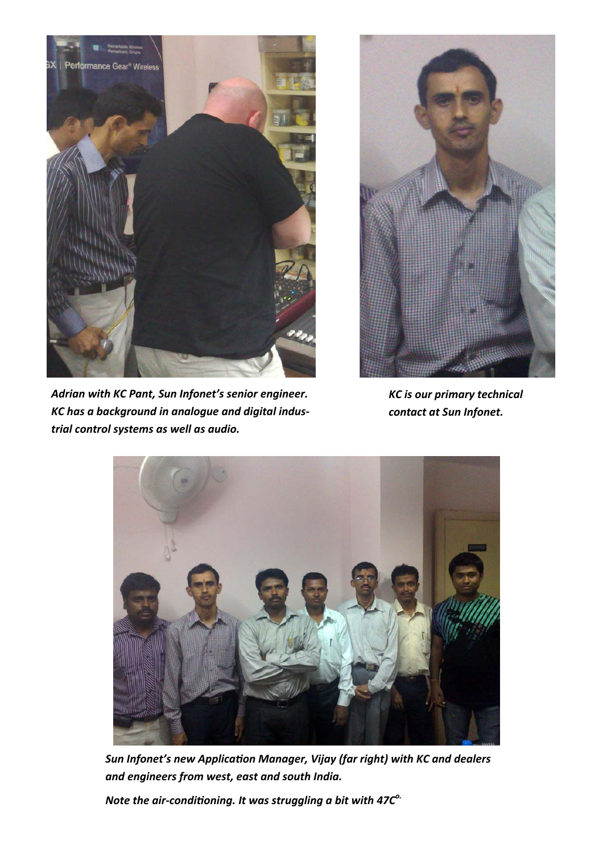

*Adrian with KC Pant, Sun Infonet's senior engineer. KC has a background in analogue and digital industrial control systems as well as audio.* 



*KC is our primary technical contact at Sun Infonet.* 



*Sun Infonet's new ApplicaƟon Manager, Vijay (far right) with KC and dealers and engineers from west, east and south India.* 

*Note the air-conditioning. It was struggling a bit with 47C<sup>o.</sup>*